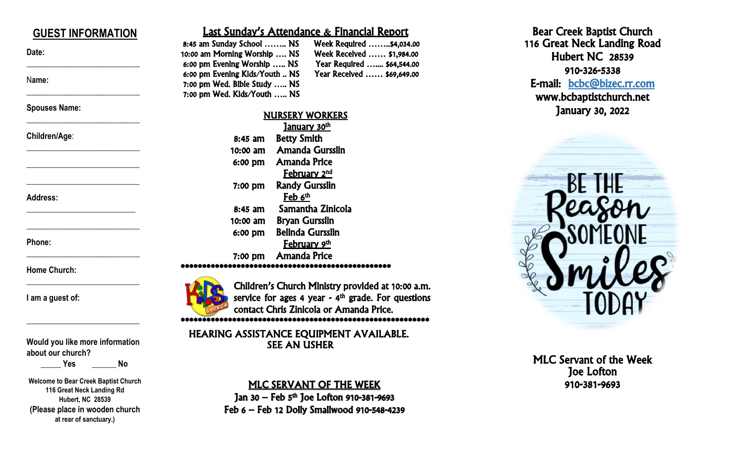| <b>GUEST INFORMATION</b> | <u>Last Sunday's Attendance &amp; Financial Report</u>       |
|--------------------------|--------------------------------------------------------------|
|                          | 8:45 am Sunday School  NS<br>Week Required \$4,034.00        |
| Date:                    | 10:00 am Morning Worship  NS<br>Week Received  \$1,984.00    |
|                          | 6:00 pm Evening Worship  NS<br>Year Required  \$64,544.00    |
| Name:                    | 6:00 pm Evening Kids/Youth  NS<br>Year Received  \$69,649.00 |
|                          | 7:00 pm Wed. Bible Study  NS                                 |
|                          | 7:00 pm Wed. Kids/Youth  NS                                  |
| <b>Spouses Name:</b>     |                                                              |
|                          | <b>NURSERY WORKERS</b>                                       |
| Children/Age:            | January 30th                                                 |
|                          | <b>Betty Smith</b><br>8:45 am                                |
|                          | <b>Amanda Gursslin</b><br>$10:00$ am                         |
|                          | <b>Amanda Price</b><br>6:00 pm                               |
|                          | <b>February 2nd</b>                                          |
|                          | <b>Randy Gursslin</b><br>7:00 pm                             |
| <b>Address:</b>          | ${\bf \text{Feb}}\;{\bf 6}^{\text{th}}$                      |
|                          | Samantha Zinicola<br>8:45 am                                 |
|                          | <b>Bryan Gursslin</b><br>$10:00$ am                          |
|                          | <b>Belinda Gursslin</b><br>6:00 pm                           |
| Phone:                   |                                                              |
|                          | February 9th                                                 |
|                          | <b>Amanda Price</b><br>$7:00$ pm                             |
| <b>Home Church:</b>      |                                                              |
|                          | Children's Church Ministry provided at 10:00 a.m.            |
| I am a guest of:         | service for ages 4 year - $4th$ grade. For questions         |
|                          | contact Chris Zinicola or Amanda Price.                      |
|                          |                                                              |
|                          |                                                              |
|                          | HEARING ASSISTANCE EQUIPMENT AVAILABLE.                      |

**Would you like more information** 

 **\_\_\_\_\_ Yes \_\_\_\_\_\_ No**

**Welcome to Bear Creek Baptist Church 116 Great Neck Landing Rd Hubert, NC 28539 (Please place in wooden church at rear of sanctuary.)**

**about our church?**

MLC SERVANT OF THE WEEK Jan 30 — Feb 5<sup>th</sup> Joe Lofton 910-381-9693 Feb 6 – Feb 12 Dolly Smallwood 910 -548 -4239

SEE AN USHER

MLC Servant of the Week Joe Lofton 910 -381 -9693

Bear Cree k Baptist Church 116 Great Neck Landing Road Hubert NC 28539

E-mail: bcbc@bizec.rr.com www .bcbaptistchurch.net January 30, 2022

910 -326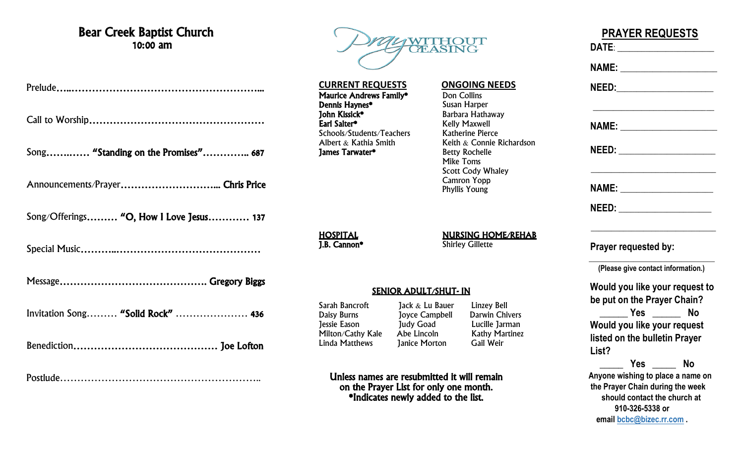### Bear Creek Baptist Church 10:00 am

Song…….…… "Standing on the Promises"………….. 687

Announcements/Prayer………………………... Chris Price

Song/Offerings……… "O, How I Love Jesus………… 137

Special Music………..……………………………………

Message……………………………………. Gregory Biggs

Invitation Song……… "Solid Rock" ………………… 436

Benediction…………………………………… Joe Lofton

Postlude…………………………………………………..



**CURRENT REQUESTS ONGOING NEEDS Maurice Andrews Family\*** Don Collins<br>**Dennis Haynes\*** Susan Harper Dennis Haynes\*<br>John Kissick\* John Kissick\* Barbara Hathaway Schools/Students/Teachers Katherine Pierce<br>Albert & Kathia Smith Keith & Connie I **James Tarwater\*** 

Kelly Maxwell

Keith  $&$  Connie Richardson<br>Betty Rochelle Mike Toms Scott Cody Whaley Camron Yopp Phyllis Young

HOSPITAL<br>
1.B. Cannon\* Shirley Gillette **Shirley Gillette** 

#### SENIOR ADULT/SHUT- IN

Sarah Bancroft Jack & Lu Bauer Linzey Bell<br>Daisy Burns Dovce Campbell Darwin Chivers Daisy Burns Joyce Campbell Jessie Eason Judy Goad Lucille Jarman Milton/Cathy Kale Abe Lincoln Kathy Martinez<br>
Linda Matthews Ianice Morton Gail Weir **Lanice Morton Gail Weir** 

Unless names are resubmitted it will remain on the Prayer List for only one month.

\*Indicates newly added to the list.

# **PRAYER REQUESTS DATE**: \_\_\_\_\_\_\_\_\_\_\_\_\_\_\_\_\_\_\_\_\_\_\_\_  **NAME:** \_\_\_\_\_\_\_\_\_\_\_\_\_\_\_\_\_\_\_\_\_\_\_\_  **NEED:**\_\_\_\_\_\_\_\_\_\_\_\_\_\_\_\_\_\_\_\_\_\_\_\_ \_\_\_\_\_\_\_\_\_\_\_\_\_\_\_\_\_\_\_\_\_\_\_\_\_\_\_\_\_\_ **NAME:**  $\blacksquare$  **NEED:** \_\_\_\_\_\_\_\_\_\_\_\_\_\_\_\_\_\_\_\_\_\_\_\_  **NAME:** \_\_\_\_\_\_\_\_\_\_\_\_\_\_\_\_\_\_\_\_\_\_\_  **NEED:** \_\_\_\_\_\_\_\_\_\_\_\_\_\_\_\_\_\_\_\_\_\_\_ \_\_\_\_\_\_\_\_\_\_\_\_\_\_\_\_\_\_\_\_\_\_\_\_\_\_\_\_\_\_\_  **Prayer requested by:**  $\overline{\phantom{a}}$  ,  $\overline{\phantom{a}}$  ,  $\overline{\phantom{a}}$  ,  $\overline{\phantom{a}}$  ,  $\overline{\phantom{a}}$  ,  $\overline{\phantom{a}}$  ,  $\overline{\phantom{a}}$  ,  $\overline{\phantom{a}}$  ,  $\overline{\phantom{a}}$  ,  $\overline{\phantom{a}}$  ,  $\overline{\phantom{a}}$  ,  $\overline{\phantom{a}}$  ,  $\overline{\phantom{a}}$  ,  $\overline{\phantom{a}}$  ,  $\overline{\phantom{a}}$  ,  $\overline{\phantom{a}}$  **(Please give contact information.) Would you like your request to be put on the Prayer Chain? \_\_\_\_\_\_ Yes \_\_\_\_\_\_ No Would you like your request listed on the bulletin Prayer List? \_\_\_\_\_ Yes \_\_\_\_\_ No**

 **Anyone wishing to place a name on the Prayer Chain during the week should contact the church at 910-326-5338 or email [bcbc@bizec.rr.com](mailto:bcbc@bizec.rr.com) .**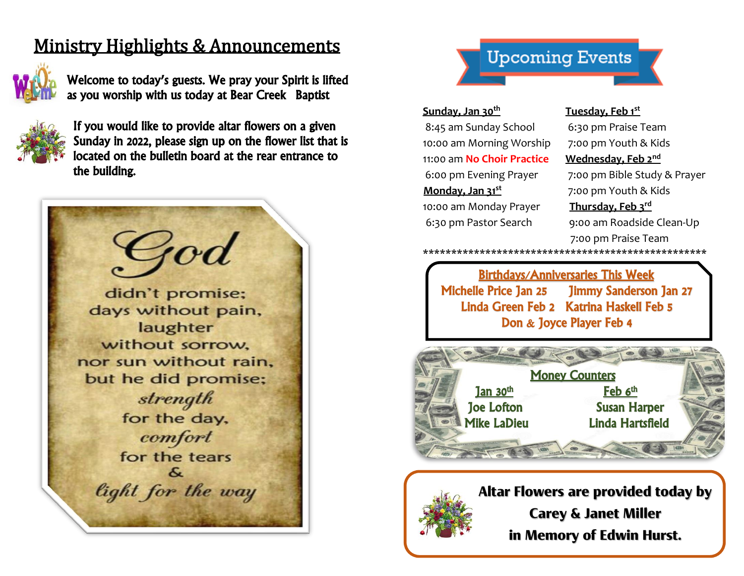# Ministry Highlights & Announcements



Welcome to today's guests. We pray your Spirit is lifted as you worship with us today at Bear Creek Baptist



If you would like to provide altar flowers on a given Sunday in 2022, please sign up on the flower list that is located on the bulletin board at the rear entrance to the building.



## **Upcoming Events**

#### **Sunday, Jan 30th**

8:45 am Sunday School 6:30 pm Praise Team 10:00 am Morning Worship 7:00 pm Youth & Kids 11:00 am **No Choir Practice Wednesday, Feb 2nd Monday, Jan 31st** 10:00 am Monday Prayer **Thursday, Feb 3rd**

#### **Tuesday, Feb 1st**

6:00 pm Evening Prayer 7:00 pm Bible Study & Prayer 7:00 pm Youth & Kids 6:30 pm Pastor Search9:00 am Roadside Clean-Up 7:00 pm Praise Team \*\*\*\*\*\*\*\*\*\*\*\*\*\*\*\*\*\*\*\*\*\*\*\*\*\*\*\*\*\*\*\*\*\*\*\*\*\*\*\*\*\*\*\*\*\*\*\*\*\*

 Birthdays/Anniversaries This Week Michelle Price Jan 25 Jimmy Sanderson Jan 27 Linda Green Feb 2 Katrina Haskell Feb 5 Don & Joyce Player Feb 4





**Altar Flowers are provided today by Carey & Janet Miller in Memory of Edwin Hurst.**